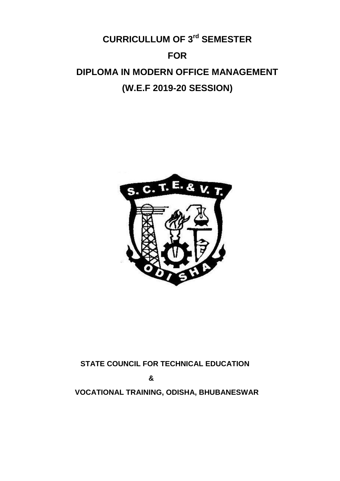# **CURRICULLUM OF 3 rd SEMESTER FOR DIPLOMA IN MODERN OFFICE MANAGEMENT (W.E.F 2019-20 SESSION)**



# **STATE COUNCIL FOR TECHNICAL EDUCATION**

 **&**

 **VOCATIONAL TRAINING, ODISHA, BHUBANESWAR**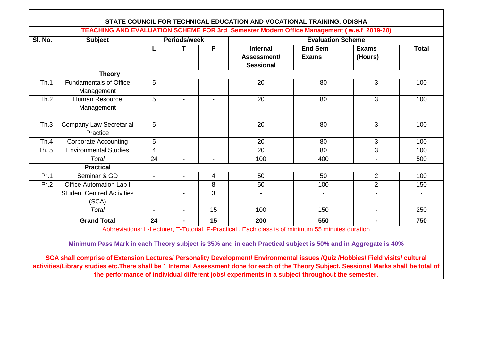| SI. No. | <b>Subject</b>                                                                                                                                                                                                                                 | Periods/week   |                |                | <b>Evaluation Scheme</b>                                                                          |                                |                         |              |
|---------|------------------------------------------------------------------------------------------------------------------------------------------------------------------------------------------------------------------------------------------------|----------------|----------------|----------------|---------------------------------------------------------------------------------------------------|--------------------------------|-------------------------|--------------|
|         |                                                                                                                                                                                                                                                | L              | T              | P              | <b>Internal</b><br>Assessment/<br><b>Sessional</b>                                                | <b>End Sem</b><br><b>Exams</b> | <b>Exams</b><br>(Hours) | <b>Total</b> |
|         | <b>Theory</b>                                                                                                                                                                                                                                  |                |                |                |                                                                                                   |                                |                         |              |
| Th.1    | <b>Fundamentals of Office</b><br>Management                                                                                                                                                                                                    | 5              |                |                | 20                                                                                                | 80                             | 3                       | 100          |
| Th.2    | <b>Human Resource</b><br>Management                                                                                                                                                                                                            | 5              |                |                | 20                                                                                                | 80                             | 3                       | 100          |
| Th.3    | <b>Company Law Secretarial</b><br>Practice                                                                                                                                                                                                     | 5              |                |                | $\overline{20}$                                                                                   | $\overline{80}$                | 3                       | 100          |
| Th.4    | <b>Corporate Accounting</b>                                                                                                                                                                                                                    | 5              | $\blacksquare$ | $\blacksquare$ | 20                                                                                                | 80                             | 3                       | 100          |
| Th. 5   | <b>Environmental Studies</b>                                                                                                                                                                                                                   | 4              |                |                | 20                                                                                                | 80                             | 3                       | 100          |
|         | <b>Total</b>                                                                                                                                                                                                                                   | 24             | $\blacksquare$ | $\blacksquare$ | 100                                                                                               | 400                            | $\blacksquare$          | 500          |
|         | <b>Practical</b>                                                                                                                                                                                                                               |                |                |                |                                                                                                   |                                |                         |              |
| Pr.1    | Seminar & GD                                                                                                                                                                                                                                   | $\blacksquare$ |                | 4              | 50                                                                                                | 50                             | $\overline{2}$          | 100          |
| Pr.2    | <b>Office Automation Lab I</b>                                                                                                                                                                                                                 | $\blacksquare$ |                | 8              | 50                                                                                                | 100                            | $\overline{2}$          | 150          |
|         | <b>Student Centred Activities</b><br>(SCA)                                                                                                                                                                                                     |                |                | 3              |                                                                                                   |                                |                         |              |
|         | Total                                                                                                                                                                                                                                          | $\blacksquare$ | $\blacksquare$ | 15             | 100                                                                                               | 150                            | $\blacksquare$          | 250          |
|         | <b>Grand Total</b>                                                                                                                                                                                                                             | 24             | $\blacksquare$ | 15             | 200                                                                                               | 550                            | $\blacksquare$          | 750          |
|         | Minimum Pass Mark in each Theory subject is 35% and in each Practical subject is 50% and in Aggregate is 40%<br>SCA shall comprise of Extension Lectures/ Personality Development/ Environmental issues /Quiz /Hobbies/ Field visits/ cultural |                |                |                | Abbreviations: L-Lecturer, T-Tutorial, P-Practical . Each class is of minimum 55 minutes duration |                                |                         |              |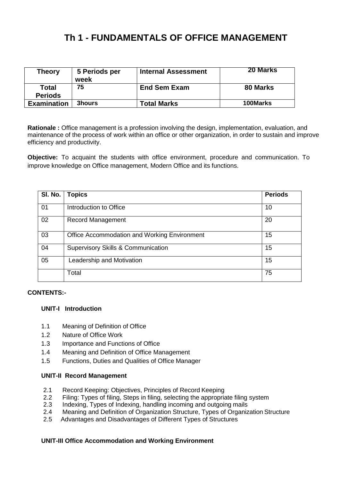# **Th 1 - FUNDAMENTALS OF OFFICE MANAGEMENT**

| <b>Theory</b>      | 5 Periods per<br>week | <b>Internal Assessment</b> | <b>20 Marks</b> |
|--------------------|-----------------------|----------------------------|-----------------|
| Total              | 75                    | <b>End Sem Exam</b>        | 80 Marks        |
| <b>Periods</b>     |                       |                            |                 |
| <b>Examination</b> | <b>3hours</b>         | <b>Total Marks</b>         | 100Marks        |

**Rationale :** Office management is a profession involving the design, implementation, evaluation, and maintenance of the process of [work](https://en.wikipedia.org/wiki/Wage_labour) within an [office](https://en.wikipedia.org/wiki/Office) or other organization, in order to sustain and improve [efficiency](https://en.wikipedia.org/wiki/Efficiency) and [productivity.](https://en.wikipedia.org/wiki/Productivity)

**Objective:** To acquaint the students with office environment, procedure and communication. To improve knowledge on Office management, Modern Office and its functions.

| SI. No. | <b>Topics</b>                                 | <b>Periods</b> |
|---------|-----------------------------------------------|----------------|
| 01      | Introduction to Office                        | 10             |
| 02      | <b>Record Management</b>                      | 20             |
| 03      | Office Accommodation and Working Environment  | 15             |
| 04      | <b>Supervisory Skills &amp; Communication</b> | 15             |
| 05      | Leadership and Motivation                     | 15             |
|         | Total                                         | 75             |

#### **CONTENTS:-**

#### **UNIT-I Introduction**

- 1.1 Meaning of Definition of Office
- 1.2 Nature of Office Work
- 1.3 Importance and Functions of Office
- 1.4 Meaning and Definition of Office Management
- 1.5 Functions, Duties and Qualities of Office Manager

#### **UNIT-II Record Management**

- 2.1 Record Keeping: Objectives, Principles of Record Keeping<br>2.2 Filing: Types of filing. Steps in filing. selecting the appropria
- 2.2 Filing: Types of filing, Steps in filing, selecting the appropriate filing system<br>2.3 Indexing, Types of Indexing, handling incoming and outgoing mails
- Indexing, Types of Indexing, handling incoming and outgoing mails
- 2.4 Meaning and Definition of Organization Structure, Types of Organization Structure
- 2.5 Advantages and Disadvantages of Different Types of Structures

#### **UNIT-III Office Accommodation and Working Environment**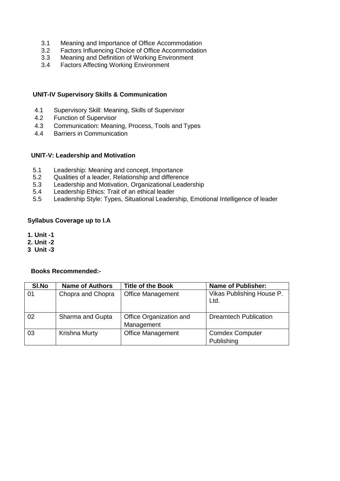- 3.1 Meaning and Importance of Office Accommodation<br>3.2 Factors Influencing Choice of Office Accommodation
- 3.2 Factors Influencing Choice of Office Accommodation<br>3.3 Meaning and Definition of Working Environment
- Meaning and Definition of Working Environment
- 3.4 Factors Affecting Working Environment

#### **UNIT-IV Supervisory Skills & Communication**

- 4.1 Supervisory Skill: Meaning, Skills of Supervisor
- 4.2 Function of Supervisor
- 4.3 Communication: Meaning, Process, Tools and Types
- 4.4 Barriers in Communication

#### **UNIT-V: Leadership and Motivation**

- 5.1 Leadership: Meaning and concept, Importance
- 5.2 Qualities of a leader, Relationship and difference
- 5.3 Leadership and Motivation, Organizational Leadership<br>5.4 Leadership Ethics: Trait of an ethical leader
- Leadership Ethics: Trait of an ethical leader
- 5.5 Leadership Style: Types, Situational Leadership, Emotional Intelligence of leader

#### **Syllabus Coverage up to I.A**

- **1. Unit -1**
- **2. Unit -2**
- **3 Unit -3**

| SI.No | <b>Name of Authors</b> | <b>Title of the Book</b>              | <b>Name of Publisher:</b>            |
|-------|------------------------|---------------------------------------|--------------------------------------|
| 01    | Chopra and Chopra      | <b>Office Management</b>              | Vikas Publishing House P.<br>Ltd.    |
| 02    | Sharma and Gupta       | Office Organization and<br>Management | <b>Dreamtech Publication</b>         |
| 03    | Krishna Murty          | <b>Office Management</b>              | <b>Comdex Computer</b><br>Publishing |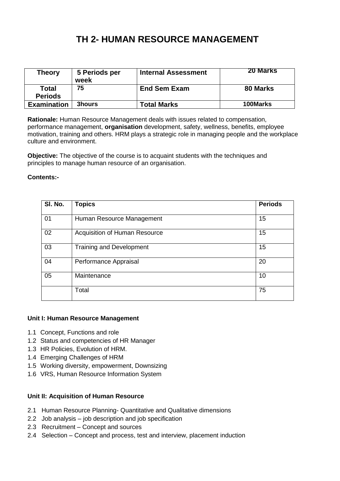# **TH 2- HUMAN RESOURCE MANAGEMENT**

| Theory                  | 5 Periods per<br>week | <b>Internal Assessment</b> | <b>20 Marks</b> |
|-------------------------|-----------------------|----------------------------|-----------------|
| Total<br><b>Periods</b> | 75                    | <b>End Sem Exam</b>        | 80 Marks        |
| <b>Examination</b>      | <b>3hours</b>         | <b>Total Marks</b>         | 100Marks        |

**Rationale:** Human Resource Management deals with issues related to compensation, performance management, **organisation** development, safety, wellness, benefits, employee motivation, training and others. HRM plays a strategic role in managing people and the workplace culture and environment.

**Objective:** The objective of the course is to acquaint students with the techniques and principles to manage human resource of an organisation.

#### **Contents:-**

| SI. No. | <b>Topics</b>                   | <b>Periods</b> |
|---------|---------------------------------|----------------|
| 01      | Human Resource Management       | 15             |
| 02      | Acquisition of Human Resource   | 15             |
| 03      | <b>Training and Development</b> | 15             |
| 04      | Performance Appraisal           | 20             |
| 05      | Maintenance                     | 10             |
|         | Total                           | 75             |

#### **Unit I: Human Resource Management**

- 1.1 Concept, Functions and role
- 1.2 Status and competencies of HR Manager
- 1.3 HR Policies, Evolution of HRM.
- 1.4 Emerging Challenges of HRM
- 1.5 Working diversity, empowerment, Downsizing
- 1.6 VRS, Human Resource Information System

#### **Unit II: Acquisition of Human Resource**

- 2.1 Human Resource Planning- Quantitative and Qualitative dimensions
- 2.2 Job analysis job description and job specification
- 2.3 Recruitment Concept and sources
- 2.4 Selection Concept and process, test and interview, placement induction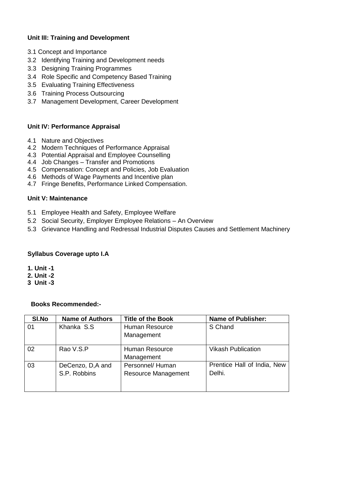### **Unit III: Training and Development**

- 3.1 Concept and Importance
- 3.2 Identifying Training and Development needs
- 3.3 Designing Training Programmes
- 3.4 Role Specific and Competency Based Training
- 3.5 Evaluating Training Effectiveness
- 3.6 Training Process Outsourcing
- 3.7 Management Development, Career Development

#### **Unit IV: Performance Appraisal**

- 4.1 Nature and Objectives
- 4.2 Modern Techniques of Performance Appraisal
- 4.3 Potential Appraisal and Employee Counselling
- 4.4 Job Changes Transfer and Promotions
- 4.5 Compensation: Concept and Policies, Job Evaluation
- 4.6 Methods of Wage Payments and Incentive plan
- 4.7 Fringe Benefits, Performance Linked Compensation.

#### **Unit V: Maintenance**

- 5.1 Employee Health and Safety, Employee Welfare
- 5.2 Social Security, Employer Employee Relations An Overview
- 5.3 Grievance Handling and Redressal Industrial Disputes Causes and Settlement Machinery

#### **Syllabus Coverage upto I.A**

- **1. Unit -1**
- **2. Unit -2**
- **3 Unit -3**

| SI.No | <b>Name of Authors</b> | <b>Title of the Book</b>     | <b>Name of Publisher:</b>   |
|-------|------------------------|------------------------------|-----------------------------|
| 01    | Khanka S.S.            | Human Resource<br>Management | S Chand                     |
|       |                        |                              |                             |
| 02    | Rao V.S.P              | Human Resource               | <b>Vikash Publication</b>   |
|       |                        | Management                   |                             |
| 03    | DeCenzo, D,A and       | Personnel/Human              | Prentice Hall of India, New |
|       | S.P. Robbins           | <b>Resource Management</b>   | Delhi.                      |
|       |                        |                              |                             |
|       |                        |                              |                             |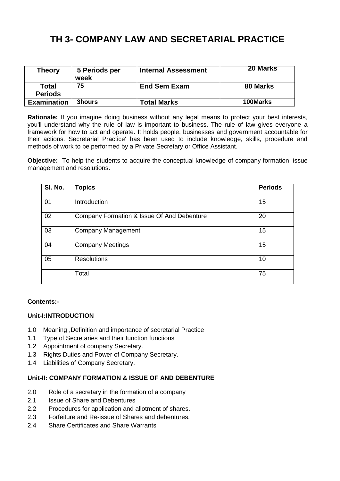# **TH 3- COMPANY LAW AND SECRETARIAL PRACTICE**

| Theory                         | 5 Periods per<br>week | <b>Internal Assessment</b> | <b>20 Marks</b> |
|--------------------------------|-----------------------|----------------------------|-----------------|
| <b>Total</b><br><b>Periods</b> | 75                    | <b>End Sem Exam</b>        | 80 Marks        |
| <b>Examination</b>             | <b>3hours</b>         | <b>Total Marks</b>         | 100Marks        |

**Rationale:** If you imagine doing business without any legal means to protect your best interests, you'll understand why the rule of law is important to business. The rule of law gives everyone a framework for how to act and operate. It holds people, businesses and government accountable for their actions. Secretarial Practice' has been used to include knowledge, skills, procedure and methods of work to be performed by a Private Secretary or Office Assistant.

**Objective:** To help the students to acquire the conceptual knowledge of company formation, issue management and resolutions.

| SI. No. | <b>Topics</b>                              | <b>Periods</b> |
|---------|--------------------------------------------|----------------|
| 01      | Introduction                               | 15             |
| 02      | Company Formation & Issue Of And Debenture | 20             |
| 03      | <b>Company Management</b>                  | 15             |
| 04      | <b>Company Meetings</b>                    | 15             |
| 05      | <b>Resolutions</b>                         | 10             |
|         | Total                                      | 75             |

#### **Contents:-**

#### **Unit-I:INTRODUCTION**

- 1.0 Meaning ,Definition and importance of secretarial Practice
- 1.1 Type of Secretaries and their function functions
- 1.2 Appointment of company Secretary.
- 1.3 Rights Duties and Power of Company Secretary.
- 1.4 Liabilities of Company Secretary.

#### **Unit-II: COMPANY FORMATION & ISSUE OF AND DEBENTURE**

- 2.0 Role of a secretary in the formation of a company
- 2.1 Issue of Share and Debentures
- 2.2 Procedures for application and allotment of shares.
- 2.3 Forfeiture and Re-issue of Shares and debentures.
- 2.4 Share Certificates and Share Warrants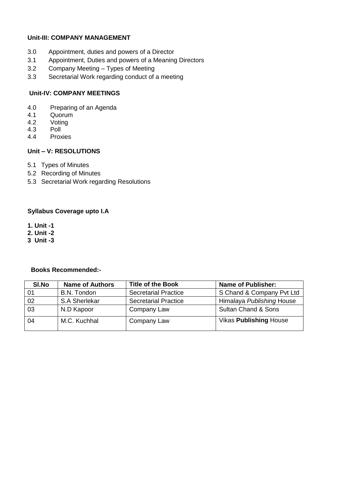### **Unit-III: COMPANY MANAGEMENT**

- 3.0 Appointment, duties and powers of a Director
- 3.1 Appointment, Duties and powers of a Meaning Directors
- 3.2 Company Meeting Types of Meeting
- 3.3 Secretarial Work regarding conduct of a meeting

#### **Unit-IV: COMPANY MEETINGS**

- 4.0 Preparing of an Agenda<br>4.1 Quorum
- 4.1 Quorum<br>4.2 Votina
- 4.2 Voting<br>4.3 Poll
- 4.3 Poll
- **Proxies**

### **Unit – V: RESOLUTIONS**

- 5.1 Types of Minutes
- 5.2 Recording of Minutes
- 5.3 Secretarial Work regarding Resolutions

#### **Syllabus Coverage upto I.A**

- **1. Unit -1**
- **2. Unit -2**
- **3 Unit -3**

| SI.No | <b>Name of Authors</b> | Title of the Book           | <b>Name of Publisher:</b>      |
|-------|------------------------|-----------------------------|--------------------------------|
|       | B.N. Tondon            | <b>Secretarial Practice</b> | S Chand & Company Pvt Ltd      |
| 02    | S.A Sherlekar          | <b>Secretarial Practice</b> | Himalaya Publishing House      |
| 03    | N.D Kapoor             | Company Law                 | <b>Sultan Chand &amp; Sons</b> |
| 04    | M.C. Kuchhal           | Company Law                 | <b>Vikas Publishing House</b>  |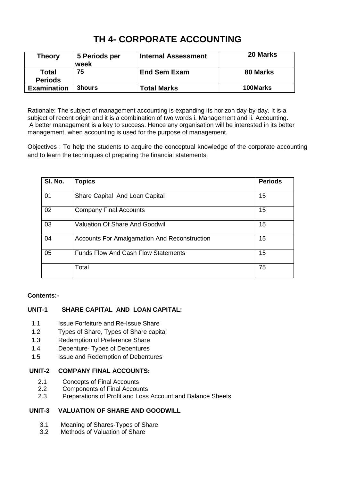# **TH 4- CORPORATE ACCOUNTING**

| Theory                         | 5 Periods per<br>week | <b>Internal Assessment</b> | 20 Marks |
|--------------------------------|-----------------------|----------------------------|----------|
| <b>Total</b><br><b>Periods</b> | 75                    | <b>End Sem Exam</b>        | 80 Marks |
| <b>Examination</b>             | <b>3hours</b>         | <b>Total Marks</b>         | 100Marks |

Rationale: The subject of management accounting is expanding its horizon day-by-day. It is a subject of recent origin and it is a combination of two words i. Management and ii. Accounting. A better management is a key to success. Hence any organisation will be interested in its better management, when accounting is used for the purpose of management.

Objectives : To help the students to acquire the conceptual knowledge of the corporate accounting and to learn the techniques of preparing the financial statements.

| SI. No. | <b>Topics</b>                                       | <b>Periods</b> |
|---------|-----------------------------------------------------|----------------|
| 01      | Share Capital And Loan Capital                      | 15             |
| 02      | <b>Company Final Accounts</b>                       | 15             |
| 03      | <b>Valuation Of Share And Goodwill</b>              | 15             |
| 04      | <b>Accounts For Amalgamation And Reconstruction</b> | 15             |
| 05      | <b>Funds Flow And Cash Flow Statements</b>          | 15             |
|         | Total                                               | 75             |

### **Contents:-**

### **UNIT-1 SHARE CAPITAL AND LOAN CAPITAL:**

- 1.1 **Issue Forfeiture and Re-Issue Share**
- 1.2 Types of Share, Types of Share capital
- 1.3 Redemption of Preference Share
- 1.4 Debenture- Types of Debentures
- 1.5 Issue and Redemption of Debentures

#### **UNIT-2 COMPANY FINAL ACCOUNTS:**

- 2.1 Concepts of Final Accounts
- 2.2 Components of Final Accounts
- 2.3 Preparations of Profit and Loss Account and Balance Sheets

#### **UNIT-3 VALUATION OF SHARE AND GOODWILL**

- 3.1 Meaning of Shares-Types of Share
- 3.2 Methods of Valuation of Share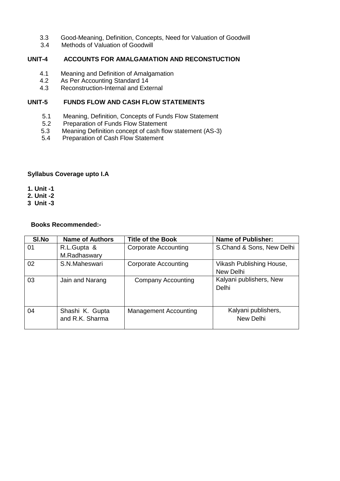- 3.3 Good-Meaning, Definition, Concepts, Need for Valuation of Goodwill
- Methods of Valuation of Goodwill

#### **UNIT-4 ACCOUNTS FOR AMALGAMATION AND RECONSTUCTION**

- 4.1 Meaning and Definition of Amalgamation<br>4.2 As Per Accounting Standard 14
- 4.2 As Per Accounting Standard 14<br>4.3 Reconstruction-Internal and Exte
- Reconstruction-Internal and External

#### **UNIT-5 FUNDS FLOW AND CASH FLOW STATEMENTS**

- 5.1 Meaning, Definition, Concepts of Funds Flow Statement
- 5.2 Preparation of Funds Flow Statement<br>5.3 Meaning Definition concept of cash flow
- Meaning Definition concept of cash flow statement (AS-3)
- 5.4 Preparation of Cash Flow Statement

#### **Syllabus Coverage upto I.A**

**1. Unit -1**

**2. Unit -2**

**3 Unit -3**

| SI.No | <b>Name of Authors</b> | <b>Title of the Book</b>     | <b>Name of Publisher:</b> |
|-------|------------------------|------------------------------|---------------------------|
| 01    | R.L.Gupta &            | <b>Corporate Accounting</b>  | S.Chand & Sons, New Delhi |
|       | M.Radhaswary           |                              |                           |
| 02    | S.N.Maheswari          | <b>Corporate Accounting</b>  | Vikash Publishing House,  |
|       |                        |                              | New Delhi                 |
| 03    | Jain and Narang        | <b>Company Accounting</b>    | Kalyani publishers, New   |
|       |                        |                              | Delhi                     |
|       |                        |                              |                           |
|       |                        |                              |                           |
| 04    | Shashi K. Gupta        | <b>Management Accounting</b> | Kalyani publishers,       |
|       | and R.K. Sharma        |                              | New Delhi                 |
|       |                        |                              |                           |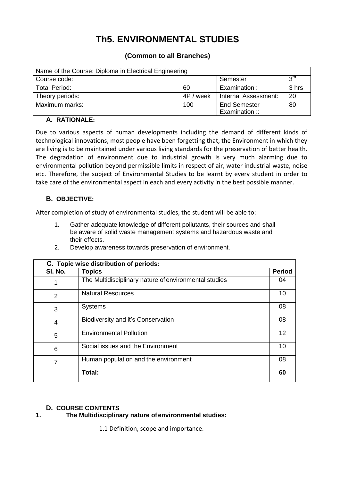# **Th5. ENVIRONMENTAL STUDIES**

### **(Common to all Branches)**

| Name of the Course: Diploma in Electrical Engineering |           |                      |                 |  |
|-------------------------------------------------------|-----------|----------------------|-----------------|--|
| Course code:                                          |           | Semester             | 3 <sup>rd</sup> |  |
| <b>Total Period:</b>                                  | 60        | Examination:         | 3 hrs           |  |
| Theory periods:                                       | 4P / week | Internal Assessment: | 20              |  |
| Maximum marks:                                        | 100       | <b>End Semester</b>  | 80              |  |
|                                                       |           | Examination:         |                 |  |

### **A. RATIONALE:**

Due to various aspects of human developments including the demand of different kinds of technological innovations, most people have been forgetting that, the Environment in which they are living is to be maintained under various living standards for the preservation of better health. The degradation of environment due to industrial growth is very much alarming due to environmental pollution beyond permissible limits in respect of air, water industrial waste, noise etc. Therefore, the subject of Environmental Studies to be learnt by every student in order to take care of the environmental aspect in each and every activity in the best possible manner.

### **B. OBJECTIVE:**

After completion of study of environmental studies, the student will be able to:

1. Gather adequate knowledge of different pollutants, their sources and shall be aware of solid waste management systems and hazardous waste and their effects.

| C. Topic wise distribution of periods: |                                                       |               |  |
|----------------------------------------|-------------------------------------------------------|---------------|--|
| SI. No.                                | <b>Topics</b>                                         | <b>Period</b> |  |
|                                        | The Multidisciplinary nature of environmental studies | 04            |  |
| 2                                      | <b>Natural Resources</b>                              | 10            |  |
| 3                                      | <b>Systems</b>                                        | 08            |  |
| 4                                      | Biodiversity and it's Conservation                    | 08            |  |
| 5                                      | <b>Environmental Pollution</b>                        | 12            |  |
| 6                                      | Social issues and the Environment                     | 10            |  |
| 7                                      | Human population and the environment                  | 08            |  |
|                                        | Total:                                                | 60            |  |

2. Develop awareness towards preservation of environment.

# **D. COURSE CONTENTS**

## **1. The Multidisciplinary nature ofenvironmental studies:**

1.1 Definition, scope and importance.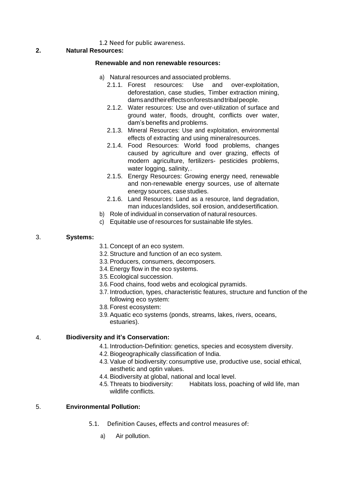#### 1.2 Need for public awareness.

#### **2. Natural Resources:**

#### **Renewable and non renewable resources:**

- a) Natural resources and associated problems.
	- 2.1.1. Forest resources: Use and over-exploitation, deforestation, case studies, Timber extraction mining, damsandtheireffectsonforestsandtribalpeople.
	- 2.1.2. Water resources: Use and over-utilization of surface and ground water, floods, drought, conflicts over water, dam's benefits and problems.
	- 2.1.3. Mineral Resources: Use and exploitation, environmental effects of extracting and using mineralresources.
	- 2.1.4. Food Resources: World food problems, changes caused by agriculture and over grazing, effects of modern agriculture, fertilizers- pesticides problems, water logging, salinity,.
	- 2.1.5. Energy Resources: Growing energy need, renewable and non-renewable energy sources, use of alternate energy sources, case studies.
	- 2.1.6. Land Resources: Land as a resource, land degradation, man induceslandslides, soil erosion, anddesertification.
- b) Role of individual in conservation of natural resources.
- c) Equitable use of resources for sustainable life styles.

#### 3. **Systems:**

- 3.1. Concept of an eco system.
- 3.2. Structure and function of an eco system.
- 3.3. Producers, consumers, decomposers.
- 3.4. Energy flow in the eco systems.
- 3.5. Ecological succession.
- 3.6. Food chains, food webs and ecological pyramids.
- 3.7. Introduction, types, characteristic features, structure and function of the following eco system:
- 3.8. Forest ecosystem:
- 3.9. Aquatic eco systems (ponds, streams, lakes, rivers, oceans, estuaries).

### 4. **Biodiversity and it's Conservation:**

- 4.1. Introduction-Definition: genetics, species and ecosystem diversity.
- 4.2. Biogeographically classification of India.
- 4.3. Value of biodiversity: consumptive use, productive use, social ethical, aesthetic and optin values.
- 4.4. Biodiversity at global, national and local level.
- 4.5. Threats to biodiversity: Habitats loss, poaching of wild life, man wildlife conflicts.

### 5. **Environmental Pollution:**

- 5.1. Definition Causes, effects and control measures of:
	- a) Air pollution.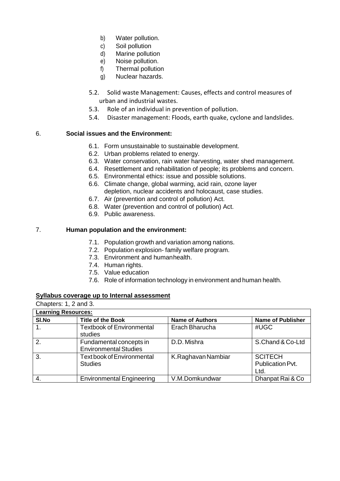- b) Water pollution.
- c) Soil pollution
- d) Marine pollution
- e) Noise pollution.
- f) Thermal pollution
- g) Nuclear hazards.
- 5.2. Solid waste Management: Causes, effects and control measures of urban and industrial wastes.
- 5.3. Role of an individual in prevention of pollution.
- 5.4. Disaster management: Floods, earth quake, cyclone and landslides.

#### 6. **Social issues and the Environment:**

- 6.1. Form unsustainable to sustainable development.
- 6.2. Urban problems related to energy.
- 6.3. Water conservation, rain water harvesting, water shed management.
- 6.4. Resettlement and rehabilitation of people; its problems and concern.
- 6.5. Environmental ethics: issue and possible solutions.
- 6.6. Climate change, global warming, acid rain, ozone layer depletion, nuclear accidents and holocaust, case studies.
- 6.7. Air (prevention and control of pollution) Act.
- 6.8. Water (prevention and control of pollution) Act.
- 6.9. Public awareness.

#### 7. **Human population and the environment:**

- 7.1. Population growth and variation among nations.
- 7.2. Population explosion- family welfare program.
- 7.3. Environment and humanhealth.
- 7.4. Human rights.
- 7.5. Value education
- 7.6. Role of information technology in environment and human health.

#### **Syllabus coverage up to Internal assessment**

| Chapters: 1, 2 and 3.      |                                                         |                        |                                            |  |
|----------------------------|---------------------------------------------------------|------------------------|--------------------------------------------|--|
| <b>Learning Resources:</b> |                                                         |                        |                                            |  |
| SI.No                      | <b>Title of the Book</b>                                | <b>Name of Authors</b> | <b>Name of Publisher</b>                   |  |
| 1.                         | <b>Textbook of Environmental</b><br>studies             | Erach Bharucha         | #UGC                                       |  |
| 2.                         | Fundamental concepts in<br><b>Environmental Studies</b> | D.D. Mishra            | S.Chand & Co-Ltd                           |  |
| 3.                         | <b>Text book of Environmental</b><br><b>Studies</b>     | K.Raghavan Nambiar     | <b>SCITECH</b><br>Publication Pvt.<br>Ltd. |  |
| 4.                         | <b>Environmental Engineering</b>                        | V.M.Domkundwar         | Dhanpat Rai & Co                           |  |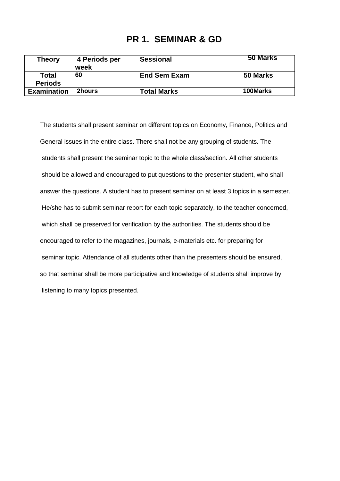# **PR 1. SEMINAR & GD**

| Theory             | 4 Periods per | <b>Sessional</b>    | 50 Marks |
|--------------------|---------------|---------------------|----------|
|                    | week          |                     |          |
| <b>Total</b>       | 60            | <b>End Sem Exam</b> | 50 Marks |
| <b>Periods</b>     |               |                     |          |
| <b>Examination</b> | <b>2hours</b> | <b>Total Marks</b>  | 100Marks |

The students shall present seminar on different topics on Economy, Finance, Politics and General issues in the entire class. There shall not be any grouping of students. The students shall present the seminar topic to the whole class/section. All other students should be allowed and encouraged to put questions to the presenter student, who shall answer the questions. A student has to present seminar on at least 3 topics in a semester. He/she has to submit seminar report for each topic separately, to the teacher concerned, which shall be preserved for verification by the authorities. The students should be encouraged to refer to the magazines, journals, e-materials etc. for preparing for seminar topic. Attendance of all students other than the presenters should be ensured, so that seminar shall be more participative and knowledge of students shall improve by listening to many topics presented.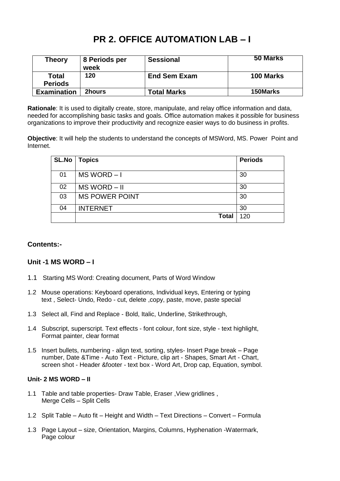# **PR 2. OFFICE AUTOMATION LAB – I**

| <b>Theory</b>                  | 8 Periods per<br>week | <b>Sessional</b>    | 50 Marks  |
|--------------------------------|-----------------------|---------------------|-----------|
| <b>Total</b><br><b>Periods</b> | 120                   | <b>End Sem Exam</b> | 100 Marks |
| <b>Examination</b>             | 2hours                | Total Marks         | 150Marks  |

**Rationale**: It is used to digitally create, store, manipulate, and relay office information and data, needed for accomplishing basic tasks and goals. Office automation makes it possible for business organizations to improve their productivity and recognize easier ways to do business in profits.

**Objective**: It will help the students to understand the concepts of MSWord, MS. Power Point and Internet.

| <b>SL.No</b> | <b>Topics</b>         | <b>Periods</b> |
|--------------|-----------------------|----------------|
| 01           | MS WORD-I             | 30             |
| 02           | MS WORD - II          | 30             |
| 03           | <b>MS POWER POINT</b> | 30             |
| 04           | <b>INTERNET</b>       | 30             |
|              | <b>Total</b>          | 120            |

### **Contents:-**

## **Unit -1 MS WORD – I**

- 1.1 Starting MS Word: Creating document, Parts of Word Window
- 1.2 Mouse operations: Keyboard operations, Individual keys, Entering or typing text , Select- Undo, Redo - cut, delete ,copy, paste, move, paste special
- 1.3 Select all, Find and Replace Bold, Italic, Underline, Strikethrough,
- 1.4 Subscript, superscript. Text effects font colour, font size, style text highlight, Format painter, clear format
- 1.5 Insert bullets, numbering align text, sorting, styles- Insert Page break Page number, Date &Time - Auto Text - Picture, clip art - Shapes, Smart Art - Chart, screen shot - Header &footer - text box - Word Art, Drop cap, Equation, symbol.

#### **Unit- 2 MS WORD – II**

- 1.1 Table and table properties- Draw Table, Eraser ,View gridlines , Merge Cells – Split Cells
- 1.2 Split Table Auto fit Height and Width Text Directions Convert Formula
- 1.3 Page Layout size, Orientation, Margins, Columns, Hyphenation -Watermark, Page colour